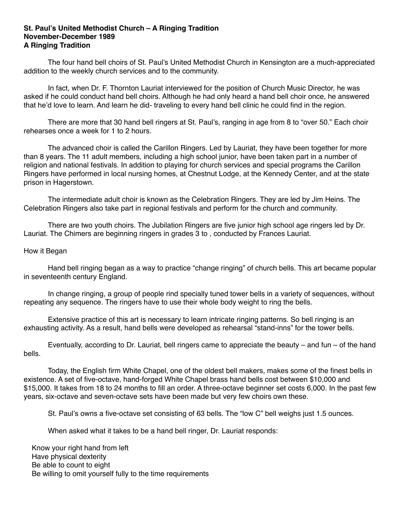## **St. Paul's United Methodist Church – A Ringing Tradition November-December 1989 A Ringing Tradition**

 The four hand bell choirs of St. Paul's United Methodist Church in Kensington are a much-appreciated addition to the weekly church services and to the community.

 In fact, when Dr. F. Thornton Lauriat interviewed for the position of Church Music Director, he was asked if he could conduct hand bell choirs. Although he had only heard a hand bell choir once, he answered that he'd love to learn. And learn he did- traveling to every hand bell clinic he could find in the region.

 There are more that 30 hand bell ringers at St. Paul's, ranging in age from 8 to "over 50." Each choir rehearses once a week for 1 to 2 hours.

 The advanced choir is called the Carillon Ringers. Led by Lauriat, they have been together for more than 8 years. The 11 adult members, including a high school junior, have been taken part in a number of religion and national festivals. In addition to playing for church services and special programs the Carillon Ringers have performed in local nursing homes, at Chestnut Lodge, at the Kennedy Center, and at the state prison in Hagerstown.

 The intermediate adult choir is known as the Celebration Ringers. They are led by Jim Heins. The Celebration Ringers also take part in regional festivals and perform for the church and community.

 There are two youth choirs. The Jubilation Ringers are five junior high school age ringers led by Dr. Lauriat. The Chimers are beginning ringers in grades 3 to , conducted by Frances Lauriat.

## How it Began

 Hand bell ringing began as a way to practice "change ringing" of church bells. This art became popular in seventeenth century England.

 In change ringing, a group of people rind specially tuned tower bells in a variety of sequences, without repeating any sequence. The ringers have to use their whole body weight to ring the bells.

 Extensive practice of this art is necessary to learn intricate ringing patterns. So bell ringing is an exhausting activity. As a result, hand bells were developed as rehearsal "stand-inns" for the tower bells.

 Eventually, according to Dr. Lauriat, bell ringers came to appreciate the beauty – and fun – of the hand bells.

 Today, the English firm White Chapel, one of the oldest bell makers, makes some of the finest bells in existence. A set of five-octave, hand-forged White Chapel brass hand bells cost between \$10,000 and \$15,000. It takes from 18 to 24 months to fill an order. A three-octave beginner set costs 6,000. In the past few years, six-octave and seven-octave sets have been made but very few choirs own these.

St. Paul's owns a five-octave set consisting of 63 bells. The "low C" bell weighs just 1.5 ounces.

When asked what it takes to be a hand bell ringer, Dr. Lauriat responds:

 Know your right hand from left Have physical dexterity Be able to count to eight Be willing to omit yourself fully to the time requirements